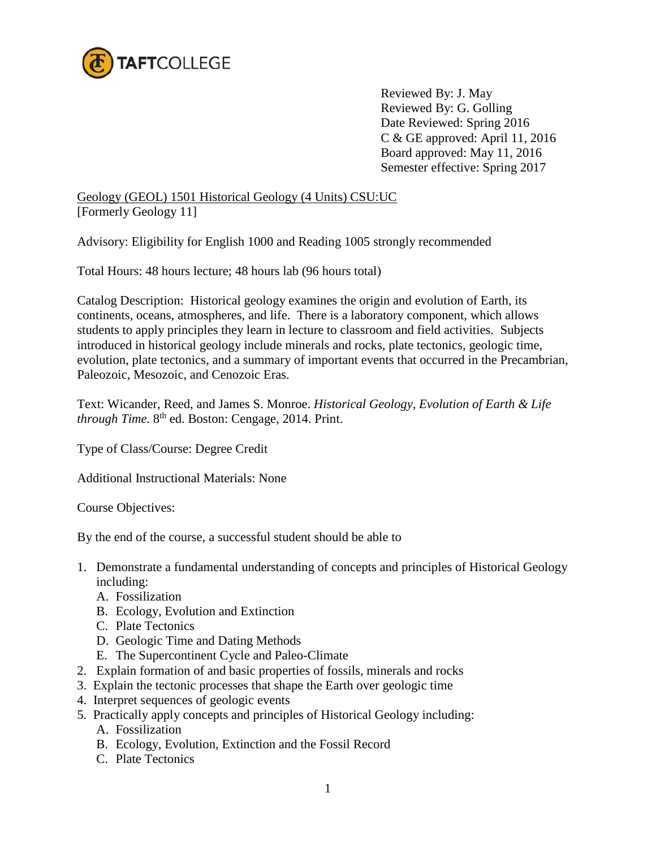

Reviewed By: J. May Reviewed By: G. Golling Date Reviewed: Spring 2016 C & GE approved: April 11, 2016 Board approved: May 11, 2016 Semester effective: Spring 2017

Geology (GEOL) 1501 Historical Geology (4 Units) CSU:UC [Formerly Geology 11]

Advisory: Eligibility for English 1000 and Reading 1005 strongly recommended

Total Hours: 48 hours lecture; 48 hours lab (96 hours total)

Catalog Description: Historical geology examines the origin and evolution of Earth, its continents, oceans, atmospheres, and life. There is a laboratory component, which allows students to apply principles they learn in lecture to classroom and field activities. Subjects introduced in historical geology include minerals and rocks, plate tectonics, geologic time, evolution, plate tectonics, and a summary of important events that occurred in the Precambrian, Paleozoic, Mesozoic, and Cenozoic Eras.

Text: Wicander, Reed, and James S. Monroe. *Historical Geology, Evolution of Earth & Life through Time.* 8th ed. Boston: Cengage, 2014. Print.

Type of Class/Course: Degree Credit

Additional Instructional Materials: None

Course Objectives:

By the end of the course, a successful student should be able to

- 1. Demonstrate a fundamental understanding of concepts and principles of Historical Geology including:
	- A. Fossilization
	- B. Ecology, Evolution and Extinction
	- C. Plate Tectonics
	- D. Geologic Time and Dating Methods
	- E. The Supercontinent Cycle and Paleo-Climate
- 2. Explain formation of and basic properties of fossils, minerals and rocks
- 3. Explain the tectonic processes that shape the Earth over geologic time
- 4. Interpret sequences of geologic events
- 5. Practically apply concepts and principles of Historical Geology including:
	- A. Fossilization
	- B. Ecology, Evolution, Extinction and the Fossil Record
	- C. Plate Tectonics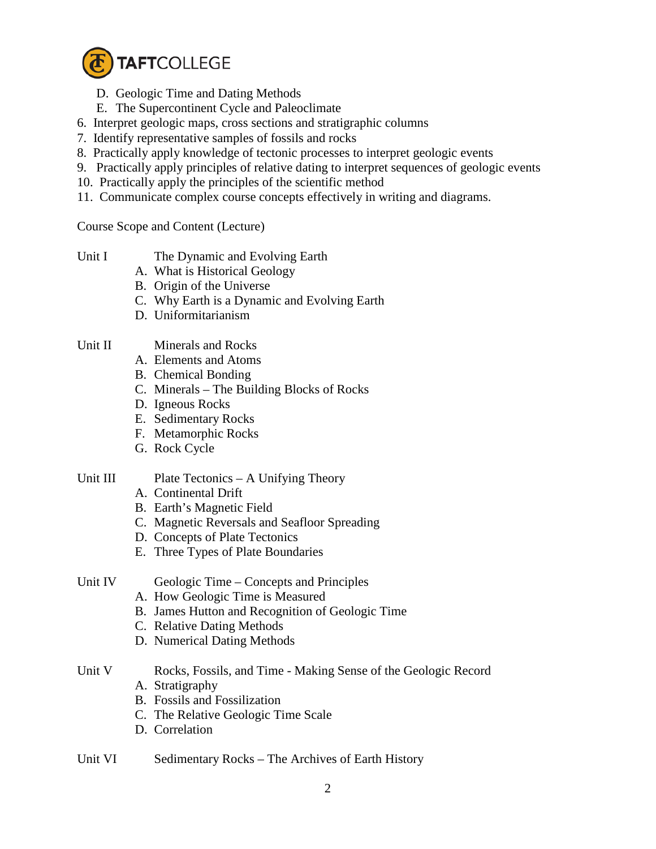

- D. Geologic Time and Dating Methods
- E. The Supercontinent Cycle and Paleoclimate
- 6. Interpret geologic maps, cross sections and stratigraphic columns
- 7. Identify representative samples of fossils and rocks
- 8. Practically apply knowledge of tectonic processes to interpret geologic events
- 9. Practically apply principles of relative dating to interpret sequences of geologic events
- 10. Practically apply the principles of the scientific method
- 11. Communicate complex course concepts effectively in writing and diagrams.

Course Scope and Content (Lecture)

- Unit I The Dynamic and Evolving Earth
	- A. What is Historical Geology
	- B. Origin of the Universe
	- C. Why Earth is a Dynamic and Evolving Earth
	- D. Uniformitarianism
- Unit II Minerals and Rocks
	- A. Elements and Atoms
	- B. Chemical Bonding
	- C. Minerals The Building Blocks of Rocks
	- D. Igneous Rocks
	- E. Sedimentary Rocks
	- F. Metamorphic Rocks
	- G. Rock Cycle

# Unit III Plate Tectonics – A Unifying Theory

- A. Continental Drift
- B. Earth's Magnetic Field
- C. Magnetic Reversals and Seafloor Spreading
- D. Concepts of Plate Tectonics
- E. Three Types of Plate Boundaries
- Unit IV Geologic Time Concepts and Principles
	- A. How Geologic Time is Measured
	- B. James Hutton and Recognition of Geologic Time
	- C. Relative Dating Methods
	- D. Numerical Dating Methods
- Unit V Rocks, Fossils, and Time Making Sense of the Geologic Record
	- A. Stratigraphy
	- B. Fossils and Fossilization
	- C. The Relative Geologic Time Scale
	- D. Correlation
- Unit VI Sedimentary Rocks The Archives of Earth History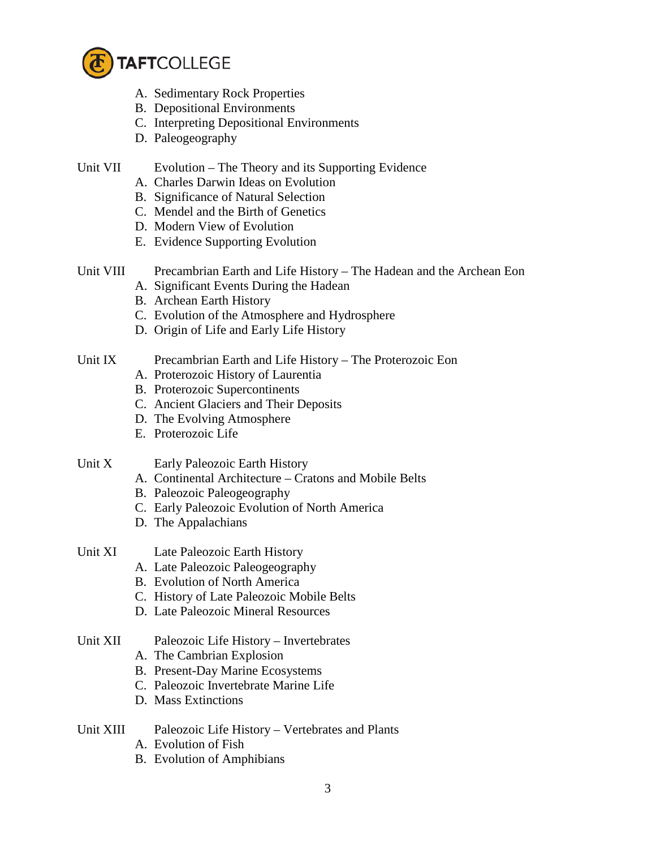

- A. Sedimentary Rock Properties
- B. Depositional Environments
- C. Interpreting Depositional Environments
- D. Paleogeography

### Unit VII Evolution – The Theory and its Supporting Evidence

- A. Charles Darwin Ideas on Evolution
- B. Significance of Natural Selection
- C. Mendel and the Birth of Genetics
- D. Modern View of Evolution
- E. Evidence Supporting Evolution

# Unit VIII Precambrian Earth and Life History – The Hadean and the Archean Eon

- A. Significant Events During the Hadean
- B. Archean Earth History
- C. Evolution of the Atmosphere and Hydrosphere
- D. Origin of Life and Early Life History

### Unit IX Precambrian Earth and Life History – The Proterozoic Eon

- A. Proterozoic History of Laurentia
- B. Proterozoic Supercontinents
- C. Ancient Glaciers and Their Deposits
- D. The Evolving Atmosphere
- E. Proterozoic Life

### Unit X Early Paleozoic Earth History

- A. Continental Architecture Cratons and Mobile Belts
- B. Paleozoic Paleogeography
- C. Early Paleozoic Evolution of North America
- D. The Appalachians
- Unit XI Late Paleozoic Earth History
	- A. Late Paleozoic Paleogeography
	- B. Evolution of North America
	- C. History of Late Paleozoic Mobile Belts
	- D. Late Paleozoic Mineral Resources

### Unit XII Paleozoic Life History – Invertebrates

- A. The Cambrian Explosion
- B. Present-Day Marine Ecosystems
- C. Paleozoic Invertebrate Marine Life
- D. Mass Extinctions

# Unit XIII Paleozoic Life History – Vertebrates and Plants

- A. Evolution of Fish
- B. Evolution of Amphibians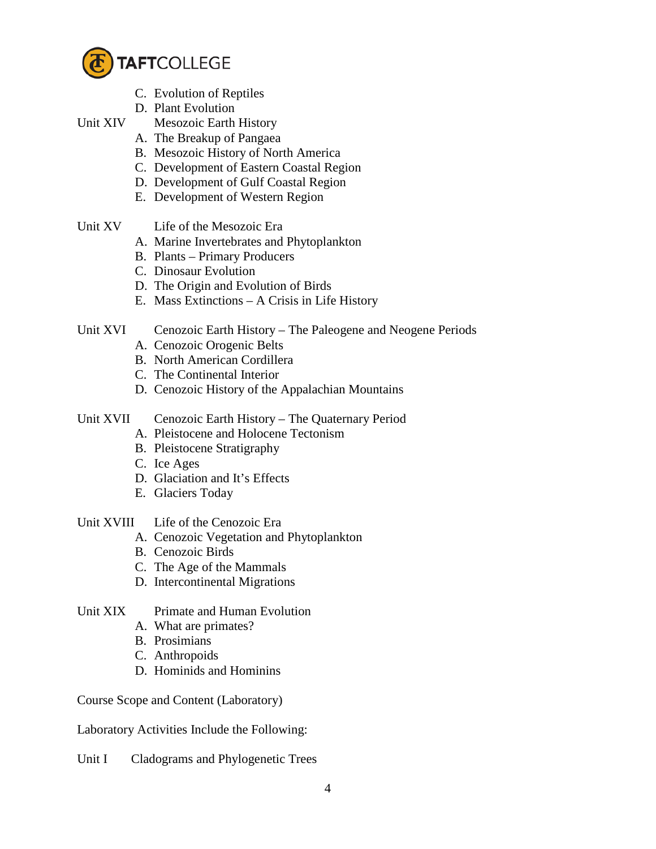

- C. Evolution of Reptiles
- D. Plant Evolution
- Unit XIV Mesozoic Earth History
	- A. The Breakup of Pangaea
	- B. Mesozoic History of North America
	- C. Development of Eastern Coastal Region
	- D. Development of Gulf Coastal Region
	- E. Development of Western Region
- Unit XV Life of the Mesozoic Era
	- A. Marine Invertebrates and Phytoplankton
	- B. Plants Primary Producers
	- C. Dinosaur Evolution
	- D. The Origin and Evolution of Birds
	- E. Mass Extinctions A Crisis in Life History
- Unit XVI Cenozoic Earth History The Paleogene and Neogene Periods
	- A. Cenozoic Orogenic Belts
	- B. North American Cordillera
	- C. The Continental Interior
	- D. Cenozoic History of the Appalachian Mountains
- Unit XVII Cenozoic Earth History The Quaternary Period
	- A. Pleistocene and Holocene Tectonism
	- B. Pleistocene Stratigraphy
	- C. Ice Ages
	- D. Glaciation and It's Effects
	- E. Glaciers Today
- Unit XVIII Life of the Cenozoic Era
	- A. Cenozoic Vegetation and Phytoplankton
	- B. Cenozoic Birds
	- C. The Age of the Mammals
	- D. Intercontinental Migrations
- Unit XIX Primate and Human Evolution
	- A. What are primates?
	- B. Prosimians
	- C. Anthropoids
	- D. Hominids and Hominins

Course Scope and Content (Laboratory)

Laboratory Activities Include the Following:

Unit I Cladograms and Phylogenetic Trees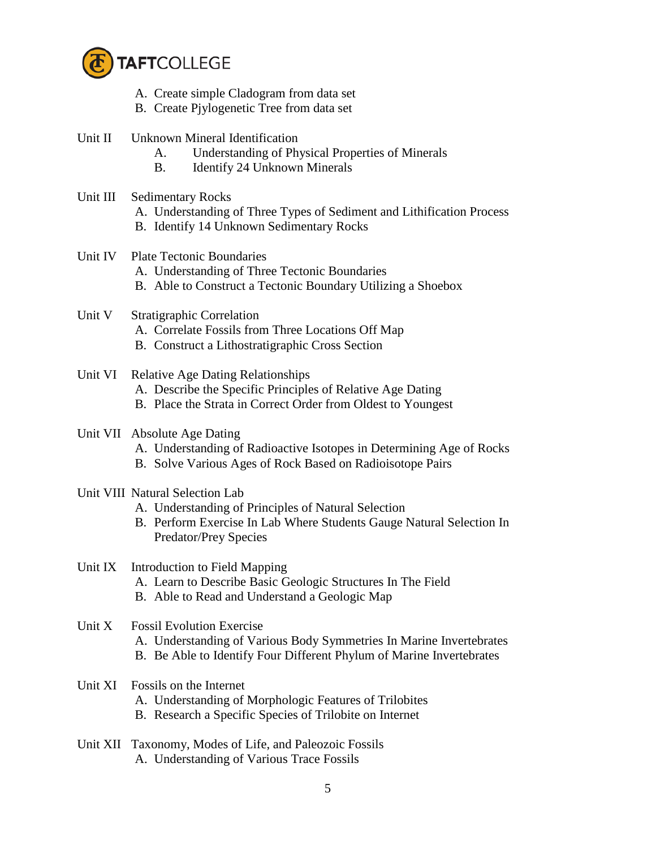

- A. Create simple Cladogram from data set
- B. Create Pjylogenetic Tree from data set
- Unit II Unknown Mineral Identification
	- A. Understanding of Physical Properties of Minerals
	- B. Identify 24 Unknown Minerals
- Unit III Sedimentary Rocks
	- A. Understanding of Three Types of Sediment and Lithification Process
	- B. Identify 14 Unknown Sedimentary Rocks
- Unit IV Plate Tectonic Boundaries
	- A. Understanding of Three Tectonic Boundaries
	- B. Able to Construct a Tectonic Boundary Utilizing a Shoebox
- Unit V Stratigraphic Correlation
	- A. Correlate Fossils from Three Locations Off Map
	- B. Construct a Lithostratigraphic Cross Section
- Unit VI Relative Age Dating Relationships
	- A. Describe the Specific Principles of Relative Age Dating
	- B. Place the Strata in Correct Order from Oldest to Youngest
- Unit VII Absolute Age Dating
	- A. Understanding of Radioactive Isotopes in Determining Age of Rocks
	- B. Solve Various Ages of Rock Based on Radioisotope Pairs
- Unit VIII Natural Selection Lab
	- A. Understanding of Principles of Natural Selection
	- B. Perform Exercise In Lab Where Students Gauge Natural Selection In Predator/Prey Species

Unit IX Introduction to Field Mapping

- A. Learn to Describe Basic Geologic Structures In The Field
- B. Able to Read and Understand a Geologic Map

### Unit X Fossil Evolution Exercise

- A. Understanding of Various Body Symmetries In Marine Invertebrates
- B. Be Able to Identify Four Different Phylum of Marine Invertebrates
- Unit XI Fossils on the Internet
	- A. Understanding of Morphologic Features of Trilobites
	- B. Research a Specific Species of Trilobite on Internet
- Unit XII Taxonomy, Modes of Life, and Paleozoic Fossils A. Understanding of Various Trace Fossils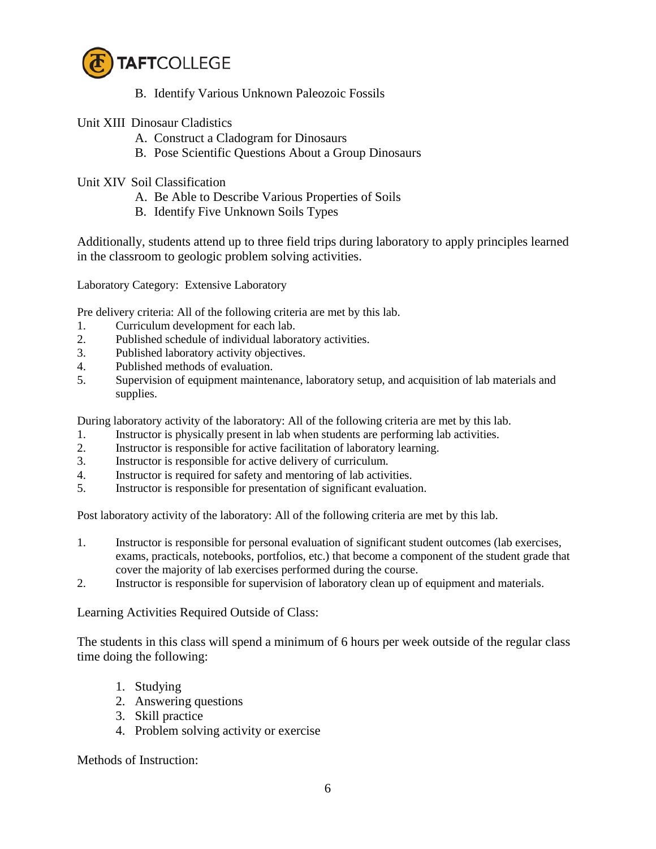

- B. Identify Various Unknown Paleozoic Fossils
- Unit XIII Dinosaur Cladistics
	- A. Construct a Cladogram for Dinosaurs
	- B. Pose Scientific Questions About a Group Dinosaurs
- Unit XIV Soil Classification
	- A. Be Able to Describe Various Properties of Soils
	- B. Identify Five Unknown Soils Types

Additionally, students attend up to three field trips during laboratory to apply principles learned in the classroom to geologic problem solving activities.

Laboratory Category: Extensive Laboratory

Pre delivery criteria: All of the following criteria are met by this lab.

- 1. Curriculum development for each lab.
- 2. Published schedule of individual laboratory activities.
- 3. Published laboratory activity objectives.
- 4. Published methods of evaluation.
- 5. Supervision of equipment maintenance, laboratory setup, and acquisition of lab materials and supplies.

During laboratory activity of the laboratory: All of the following criteria are met by this lab.

- 1. Instructor is physically present in lab when students are performing lab activities.
- 2. Instructor is responsible for active facilitation of laboratory learning.
- 3. Instructor is responsible for active delivery of curriculum.
- 4. Instructor is required for safety and mentoring of lab activities.
- 5. Instructor is responsible for presentation of significant evaluation.

Post laboratory activity of the laboratory: All of the following criteria are met by this lab.

- 1. Instructor is responsible for personal evaluation of significant student outcomes (lab exercises, exams, practicals, notebooks, portfolios, etc.) that become a component of the student grade that cover the majority of lab exercises performed during the course.
- 2. Instructor is responsible for supervision of laboratory clean up of equipment and materials.

Learning Activities Required Outside of Class:

 The students in this class will spend a minimum of 6 hours per week outside of the regular class time doing the following:

- 1. Studying
- 2. Answering questions
- 3. Skill practice
- 4. Problem solving activity or exercise

Methods of Instruction: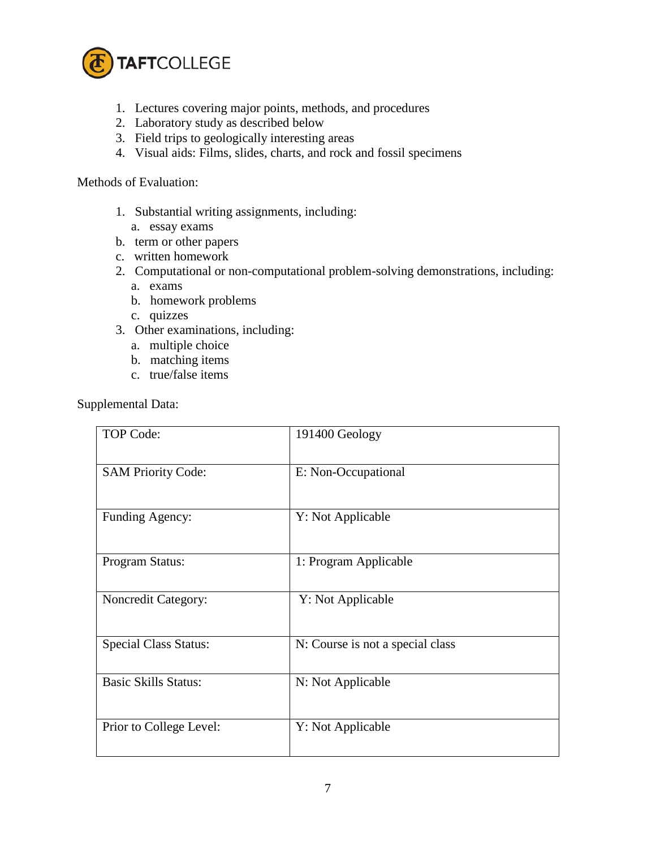

- 1. Lectures covering major points, methods, and procedures
- 2. Laboratory study as described below
- 3. Field trips to geologically interesting areas
- 4. Visual aids: Films, slides, charts, and rock and fossil specimens

#### Methods of Evaluation:

- 1. Substantial writing assignments, including:
	- a. essay exams
- b. term or other papers
- c. written homework
- 2. Computational or non-computational problem-solving demonstrations, including:
	- a. exams
	- b. homework problems
	- c. quizzes
- 3. Other examinations, including:
	- a. multiple choice
	- b. matching items
	- c. true/false items

Supplemental Data:

| <b>TOP Code:</b>             | 191400 Geology                   |
|------------------------------|----------------------------------|
| <b>SAM Priority Code:</b>    | E: Non-Occupational              |
| Funding Agency:              | Y: Not Applicable                |
| Program Status:              | 1: Program Applicable            |
| Noncredit Category:          | Y: Not Applicable                |
| <b>Special Class Status:</b> | N: Course is not a special class |
| <b>Basic Skills Status:</b>  | N: Not Applicable                |
| Prior to College Level:      | Y: Not Applicable                |